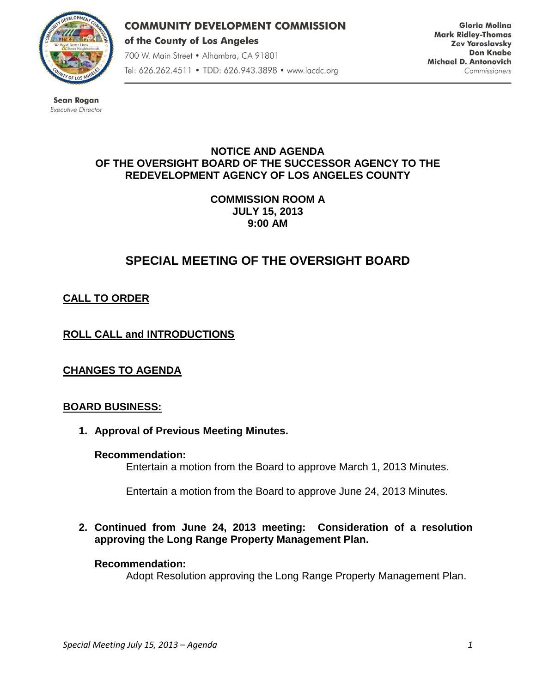

**COMMUNITY DEVELOPMENT COMMISSION** of the County of Los Angeles 700 W. Main Street · Alhambra, CA 91801 Tel: 626.262.4511 • TDD: 626.943.3898 • www.lacdc.org

**Gloria Molina Mark Ridley-Thomas Zev Yaroslavsky Don Knabe** Michael D. Antonovich Commissioners

**Sean Rogan** Executive Director

### **NOTICE AND AGENDA OF THE OVERSIGHT BOARD OF THE SUCCESSOR AGENCY TO THE REDEVELOPMENT AGENCY OF LOS ANGELES COUNTY**

**COMMISSION ROOM A JULY 15, 2013 9:00 AM**

# **SPECIAL MEETING OF THE OVERSIGHT BOARD**

# **CALL TO ORDER**

# **ROLL CALL and INTRODUCTIONS**

**CHANGES TO AGENDA**

### **BOARD BUSINESS:**

**1. Approval of Previous Meeting Minutes.**

#### **Recommendation:**

Entertain a motion from the Board to approve March 1, 2013 Minutes.

Entertain a motion from the Board to approve June 24, 2013 Minutes.

**2. Continued from June 24, 2013 meeting: Consideration of a resolution approving the Long Range Property Management Plan.**

#### **Recommendation:**

Adopt Resolution approving the Long Range Property Management Plan.